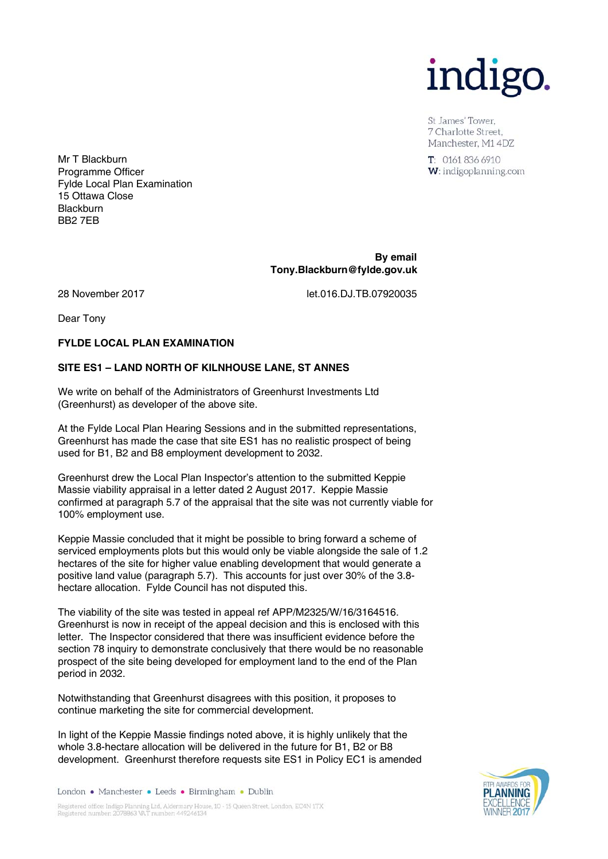

St James' Tower. 7 Charlotte Street. Manchester, M1 4DZ

 $T: 01618366910$ W: indigoplanning.com

Mr T Blackburn Programme Officer Fylde Local Plan Examination 15 Ottawa Close **Blackburn** BB2 7EB

> **By email Tony.Blackburn@fylde.gov.uk**

28 November 2017 let.016.DJ.TB.07920035

Dear Tony

#### **FYLDE LOCAL PLAN EXAMINATION**

#### **SITE ES1 – LAND NORTH OF KILNHOUSE LANE, ST ANNES**

We write on behalf of the Administrators of Greenhurst Investments Ltd (Greenhurst) as developer of the above site.

At the Fylde Local Plan Hearing Sessions and in the submitted representations, Greenhurst has made the case that site ES1 has no realistic prospect of being used for B1, B2 and B8 employment development to 2032.

Greenhurst drew the Local Plan Inspector's attention to the submitted Keppie Massie viability appraisal in a letter dated 2 August 2017. Keppie Massie confirmed at paragraph 5.7 of the appraisal that the site was not currently viable for 100% employment use.

Keppie Massie concluded that it might be possible to bring forward a scheme of serviced employments plots but this would only be viable alongside the sale of 1.2 hectares of the site for higher value enabling development that would generate a positive land value (paragraph 5.7). This accounts for just over 30% of the 3.8 hectare allocation. Fylde Council has not disputed this.

The viability of the site was tested in appeal ref APP/M2325/W/16/3164516. Greenhurst is now in receipt of the appeal decision and this is enclosed with this letter. The Inspector considered that there was insufficient evidence before the section 78 inquiry to demonstrate conclusively that there would be no reasonable prospect of the site being developed for employment land to the end of the Plan period in 2032.

Notwithstanding that Greenhurst disagrees with this position, it proposes to continue marketing the site for commercial development.

In light of the Keppie Massie findings noted above, it is highly unlikely that the whole 3.8-hectare allocation will be delivered in the future for B1, B2 or B8 development. Greenhurst therefore requests site ES1 in Policy EC1 is amended

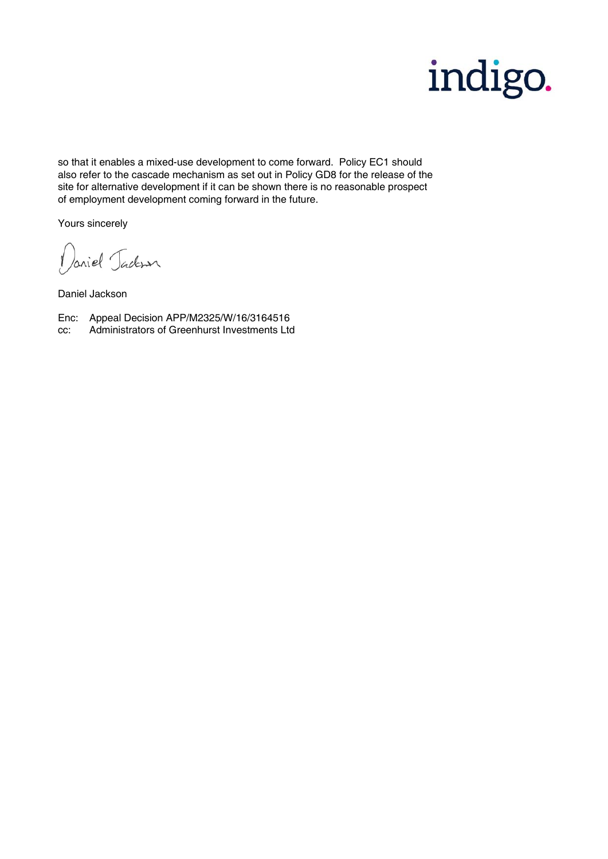

so that it enables a mixed-use development to come forward. Policy EC1 should also refer to the cascade mechanism as set out in Policy GD8 for the release of the site for alternative development if it can be shown there is no reasonable prospect of employment development coming forward in the future.

Yours sincerely

Daniel Jackson

Daniel Jackson

Enc: Appeal Decision APP/M2325/W/16/3164516

cc: Administrators of Greenhurst Investments Ltd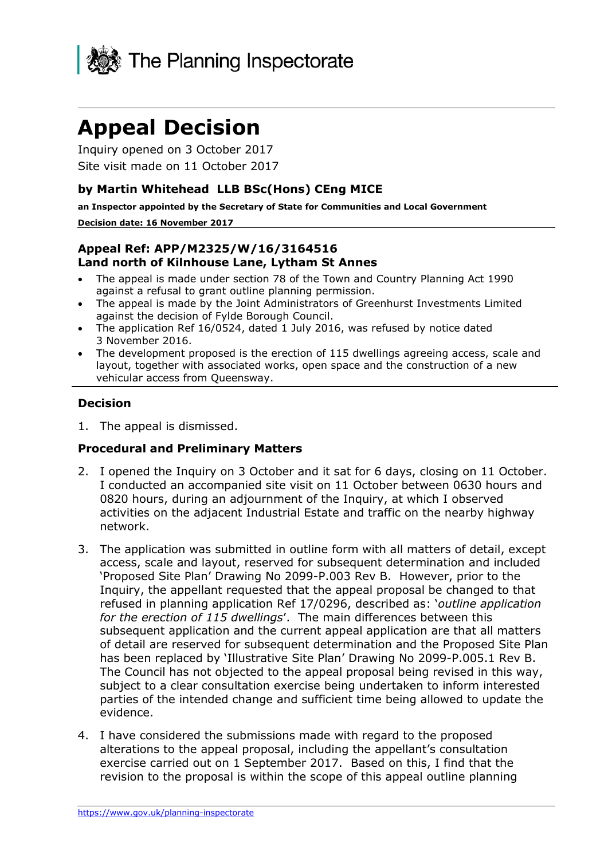

# **Appeal Decision**

Inquiry opened on 3 October 2017 Site visit made on 11 October 2017

#### **by Martin Whitehead LLB BSc(Hons) CEng MICE**

**an Inspector appointed by the Secretary of State for Communities and Local Government**

#### **Decision date: 16 November 2017**

#### **Appeal Ref: APP/M2325/W/16/3164516 Land north of Kilnhouse Lane, Lytham St Annes**

- The appeal is made under section 78 of the Town and Country Planning Act 1990 against a refusal to grant outline planning permission.
- The appeal is made by the Joint Administrators of Greenhurst Investments Limited against the decision of Fylde Borough Council.
- The application Ref 16/0524, dated 1 July 2016, was refused by notice dated 3 November 2016.
- The development proposed is the erection of 115 dwellings agreeing access, scale and layout, together with associated works, open space and the construction of a new vehicular access from Queensway.

#### **Decision**

1. The appeal is dismissed.

#### **Procedural and Preliminary Matters**

- 2. I opened the Inquiry on 3 October and it sat for 6 days, closing on 11 October. I conducted an accompanied site visit on 11 October between 0630 hours and 0820 hours, during an adjournment of the Inquiry, at which I observed activities on the adjacent Industrial Estate and traffic on the nearby highway network.
- 3. The application was submitted in outline form with all matters of detail, except access, scale and layout, reserved for subsequent determination and included 'Proposed Site Plan' Drawing No 2099-P.003 Rev B. However, prior to the Inquiry, the appellant requested that the appeal proposal be changed to that refused in planning application Ref 17/0296, described as: '*outline application for the erection of 115 dwellings*'. The main differences between this subsequent application and the current appeal application are that all matters of detail are reserved for subsequent determination and the Proposed Site Plan has been replaced by 'Illustrative Site Plan' Drawing No 2099-P.005.1 Rev B. The Council has not objected to the appeal proposal being revised in this way, subject to a clear consultation exercise being undertaken to inform interested parties of the intended change and sufficient time being allowed to update the evidence.
- 4. I have considered the submissions made with regard to the proposed alterations to the appeal proposal, including the appellant's consultation exercise carried out on 1 September 2017. Based on this, I find that the revision to the proposal is within the scope of this appeal outline planning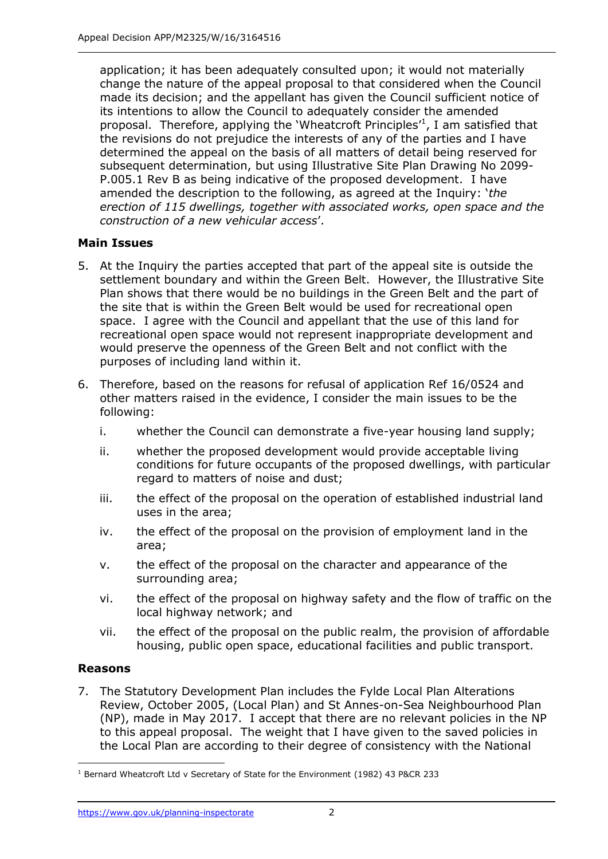application; it has been adequately consulted upon; it would not materially change the nature of the appeal proposal to that considered when the Council made its decision; and the appellant has given the Council sufficient notice of its intentions to allow the Council to adequately consider the amended proposal. Therefore, applying the 'Wheatcroft Principles<sup>1</sup>, I am satisfied that the revisions do not prejudice the interests of any of the parties and I have determined the appeal on the basis of all matters of detail being reserved for subsequent determination, but using Illustrative Site Plan Drawing No 2099- P.005.1 Rev B as being indicative of the proposed development. I have amended the description to the following, as agreed at the Inquiry: '*the erection of 115 dwellings, together with associated works, open space and the construction of a new vehicular access*'.

### **Main Issues**

- 5. At the Inquiry the parties accepted that part of the appeal site is outside the settlement boundary and within the Green Belt. However, the Illustrative Site Plan shows that there would be no buildings in the Green Belt and the part of the site that is within the Green Belt would be used for recreational open space. I agree with the Council and appellant that the use of this land for recreational open space would not represent inappropriate development and would preserve the openness of the Green Belt and not conflict with the purposes of including land within it.
- 6. Therefore, based on the reasons for refusal of application Ref 16/0524 and other matters raised in the evidence, I consider the main issues to be the following:
	- i. whether the Council can demonstrate a five-year housing land supply;
	- ii. whether the proposed development would provide acceptable living conditions for future occupants of the proposed dwellings, with particular regard to matters of noise and dust;
	- iii. the effect of the proposal on the operation of established industrial land uses in the area;
	- iv. the effect of the proposal on the provision of employment land in the area;
	- v. the effect of the proposal on the character and appearance of the surrounding area;
	- vi. the effect of the proposal on highway safety and the flow of traffic on the local highway network; and
	- vii. the effect of the proposal on the public realm, the provision of affordable housing, public open space, educational facilities and public transport.

#### **Reasons**

7. The Statutory Development Plan includes the Fylde Local Plan Alterations Review, October 2005, (Local Plan) and St Annes-on-Sea Neighbourhood Plan (NP), made in May 2017. I accept that there are no relevant policies in the NP to this appeal proposal. The weight that I have given to the saved policies in the Local Plan are according to their degree of consistency with the National

j <sup>1</sup> Bernard Wheatcroft Ltd v Secretary of State for the Environment (1982) 43 P&CR 233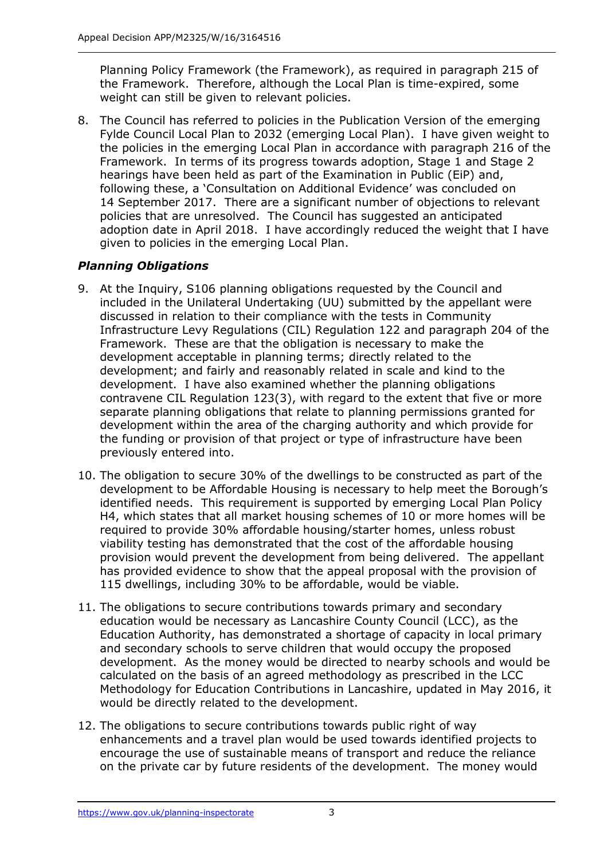Planning Policy Framework (the Framework), as required in paragraph 215 of the Framework. Therefore, although the Local Plan is time-expired, some weight can still be given to relevant policies.

8. The Council has referred to policies in the Publication Version of the emerging Fylde Council Local Plan to 2032 (emerging Local Plan). I have given weight to the policies in the emerging Local Plan in accordance with paragraph 216 of the Framework. In terms of its progress towards adoption, Stage 1 and Stage 2 hearings have been held as part of the Examination in Public (EiP) and, following these, a 'Consultation on Additional Evidence' was concluded on 14 September 2017. There are a significant number of objections to relevant policies that are unresolved. The Council has suggested an anticipated adoption date in April 2018. I have accordingly reduced the weight that I have given to policies in the emerging Local Plan.

## *Planning Obligations*

- 9. At the Inquiry, S106 planning obligations requested by the Council and included in the Unilateral Undertaking (UU) submitted by the appellant were discussed in relation to their compliance with the tests in Community Infrastructure Levy Regulations (CIL) Regulation 122 and paragraph 204 of the Framework. These are that the obligation is necessary to make the development acceptable in planning terms; directly related to the development; and fairly and reasonably related in scale and kind to the development. I have also examined whether the planning obligations contravene CIL Regulation 123(3), with regard to the extent that five or more separate planning obligations that relate to planning permissions granted for development within the area of the charging authority and which provide for the funding or provision of that project or type of infrastructure have been previously entered into.
- 10. The obligation to secure 30% of the dwellings to be constructed as part of the development to be Affordable Housing is necessary to help meet the Borough's identified needs. This requirement is supported by emerging Local Plan Policy H4, which states that all market housing schemes of 10 or more homes will be required to provide 30% affordable housing/starter homes, unless robust viability testing has demonstrated that the cost of the affordable housing provision would prevent the development from being delivered. The appellant has provided evidence to show that the appeal proposal with the provision of 115 dwellings, including 30% to be affordable, would be viable.
- 11. The obligations to secure contributions towards primary and secondary education would be necessary as Lancashire County Council (LCC), as the Education Authority, has demonstrated a shortage of capacity in local primary and secondary schools to serve children that would occupy the proposed development. As the money would be directed to nearby schools and would be calculated on the basis of an agreed methodology as prescribed in the LCC Methodology for Education Contributions in Lancashire, updated in May 2016, it would be directly related to the development.
- 12. The obligations to secure contributions towards public right of way enhancements and a travel plan would be used towards identified projects to encourage the use of sustainable means of transport and reduce the reliance on the private car by future residents of the development. The money would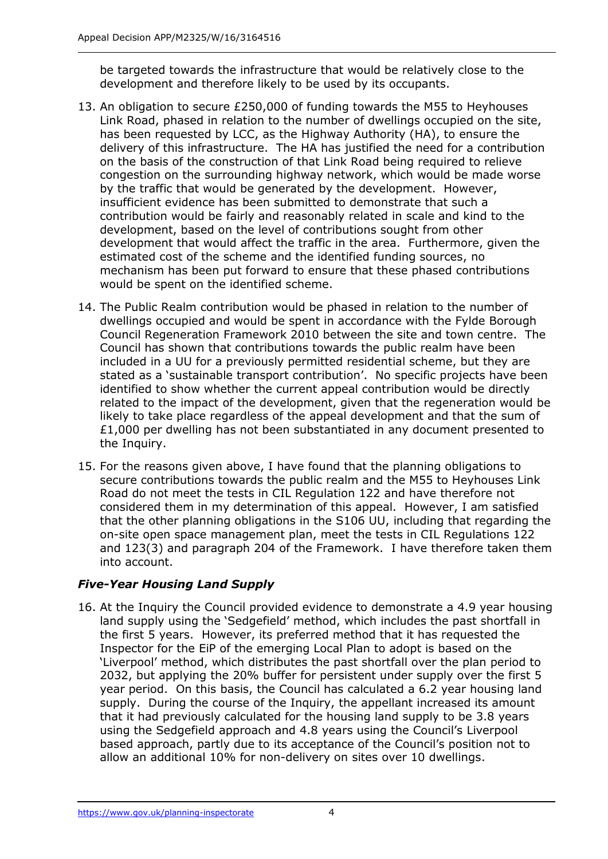be targeted towards the infrastructure that would be relatively close to the development and therefore likely to be used by its occupants.

- 13. An obligation to secure £250,000 of funding towards the M55 to Heyhouses Link Road, phased in relation to the number of dwellings occupied on the site, has been requested by LCC, as the Highway Authority (HA), to ensure the delivery of this infrastructure. The HA has justified the need for a contribution on the basis of the construction of that Link Road being required to relieve congestion on the surrounding highway network, which would be made worse by the traffic that would be generated by the development. However, insufficient evidence has been submitted to demonstrate that such a contribution would be fairly and reasonably related in scale and kind to the development, based on the level of contributions sought from other development that would affect the traffic in the area. Furthermore, given the estimated cost of the scheme and the identified funding sources, no mechanism has been put forward to ensure that these phased contributions would be spent on the identified scheme.
- 14. The Public Realm contribution would be phased in relation to the number of dwellings occupied and would be spent in accordance with the Fylde Borough Council Regeneration Framework 2010 between the site and town centre. The Council has shown that contributions towards the public realm have been included in a UU for a previously permitted residential scheme, but they are stated as a 'sustainable transport contribution'. No specific projects have been identified to show whether the current appeal contribution would be directly related to the impact of the development, given that the regeneration would be likely to take place regardless of the appeal development and that the sum of £1,000 per dwelling has not been substantiated in any document presented to the Inquiry.
- 15. For the reasons given above, I have found that the planning obligations to secure contributions towards the public realm and the M55 to Heyhouses Link Road do not meet the tests in CIL Regulation 122 and have therefore not considered them in my determination of this appeal. However, I am satisfied that the other planning obligations in the S106 UU, including that regarding the on-site open space management plan, meet the tests in CIL Regulations 122 and 123(3) and paragraph 204 of the Framework. I have therefore taken them into account.

## *Five-Year Housing Land Supply*

16. At the Inquiry the Council provided evidence to demonstrate a 4.9 year housing land supply using the 'Sedgefield' method, which includes the past shortfall in the first 5 years. However, its preferred method that it has requested the Inspector for the EiP of the emerging Local Plan to adopt is based on the 'Liverpool' method, which distributes the past shortfall over the plan period to 2032, but applying the 20% buffer for persistent under supply over the first 5 year period. On this basis, the Council has calculated a 6.2 year housing land supply. During the course of the Inquiry, the appellant increased its amount that it had previously calculated for the housing land supply to be 3.8 years using the Sedgefield approach and 4.8 years using the Council's Liverpool based approach, partly due to its acceptance of the Council's position not to allow an additional 10% for non-delivery on sites over 10 dwellings.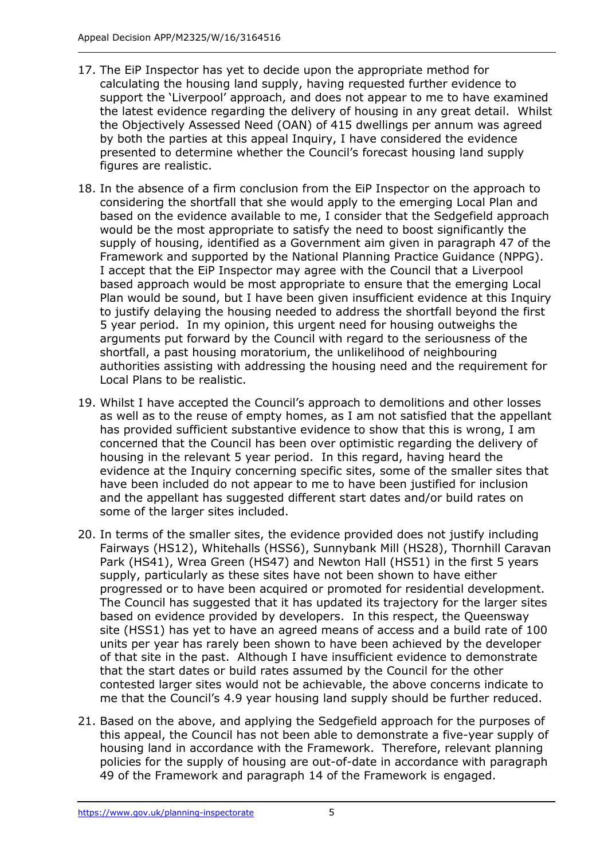- 17. The EiP Inspector has yet to decide upon the appropriate method for calculating the housing land supply, having requested further evidence to support the 'Liverpool' approach, and does not appear to me to have examined the latest evidence regarding the delivery of housing in any great detail. Whilst the Objectively Assessed Need (OAN) of 415 dwellings per annum was agreed by both the parties at this appeal Inquiry, I have considered the evidence presented to determine whether the Council's forecast housing land supply figures are realistic.
- 18. In the absence of a firm conclusion from the EiP Inspector on the approach to considering the shortfall that she would apply to the emerging Local Plan and based on the evidence available to me, I consider that the Sedgefield approach would be the most appropriate to satisfy the need to boost significantly the supply of housing, identified as a Government aim given in paragraph 47 of the Framework and supported by the National Planning Practice Guidance (NPPG). I accept that the EiP Inspector may agree with the Council that a Liverpool based approach would be most appropriate to ensure that the emerging Local Plan would be sound, but I have been given insufficient evidence at this Inquiry to justify delaying the housing needed to address the shortfall beyond the first 5 year period. In my opinion, this urgent need for housing outweighs the arguments put forward by the Council with regard to the seriousness of the shortfall, a past housing moratorium, the unlikelihood of neighbouring authorities assisting with addressing the housing need and the requirement for Local Plans to be realistic.
- 19. Whilst I have accepted the Council's approach to demolitions and other losses as well as to the reuse of empty homes, as I am not satisfied that the appellant has provided sufficient substantive evidence to show that this is wrong, I am concerned that the Council has been over optimistic regarding the delivery of housing in the relevant 5 year period. In this regard, having heard the evidence at the Inquiry concerning specific sites, some of the smaller sites that have been included do not appear to me to have been justified for inclusion and the appellant has suggested different start dates and/or build rates on some of the larger sites included.
- 20. In terms of the smaller sites, the evidence provided does not justify including Fairways (HS12), Whitehalls (HSS6), Sunnybank Mill (HS28), Thornhill Caravan Park (HS41), Wrea Green (HS47) and Newton Hall (HS51) in the first 5 years supply, particularly as these sites have not been shown to have either progressed or to have been acquired or promoted for residential development. The Council has suggested that it has updated its trajectory for the larger sites based on evidence provided by developers. In this respect, the Queensway site (HSS1) has yet to have an agreed means of access and a build rate of 100 units per year has rarely been shown to have been achieved by the developer of that site in the past. Although I have insufficient evidence to demonstrate that the start dates or build rates assumed by the Council for the other contested larger sites would not be achievable, the above concerns indicate to me that the Council's 4.9 year housing land supply should be further reduced.
- 21. Based on the above, and applying the Sedgefield approach for the purposes of this appeal, the Council has not been able to demonstrate a five-year supply of housing land in accordance with the Framework. Therefore, relevant planning policies for the supply of housing are out-of-date in accordance with paragraph 49 of the Framework and paragraph 14 of the Framework is engaged.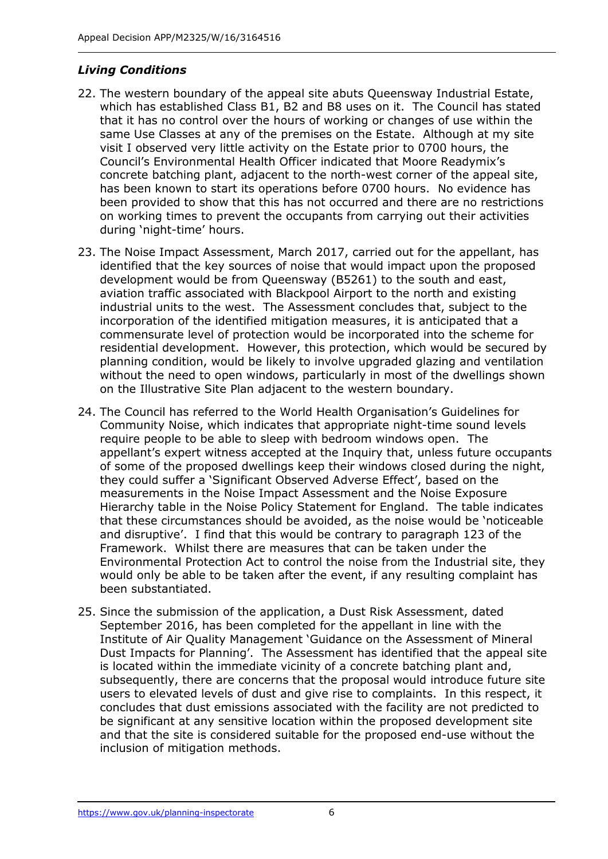## *Living Conditions*

- 22. The western boundary of the appeal site abuts Queensway Industrial Estate, which has established Class B1, B2 and B8 uses on it. The Council has stated that it has no control over the hours of working or changes of use within the same Use Classes at any of the premises on the Estate. Although at my site visit I observed very little activity on the Estate prior to 0700 hours, the Council's Environmental Health Officer indicated that Moore Readymix's concrete batching plant, adjacent to the north-west corner of the appeal site, has been known to start its operations before 0700 hours. No evidence has been provided to show that this has not occurred and there are no restrictions on working times to prevent the occupants from carrying out their activities during 'night-time' hours.
- 23. The Noise Impact Assessment, March 2017, carried out for the appellant, has identified that the key sources of noise that would impact upon the proposed development would be from Queensway (B5261) to the south and east, aviation traffic associated with Blackpool Airport to the north and existing industrial units to the west. The Assessment concludes that, subject to the incorporation of the identified mitigation measures, it is anticipated that a commensurate level of protection would be incorporated into the scheme for residential development. However, this protection, which would be secured by planning condition, would be likely to involve upgraded glazing and ventilation without the need to open windows, particularly in most of the dwellings shown on the Illustrative Site Plan adjacent to the western boundary.
- 24. The Council has referred to the World Health Organisation's Guidelines for Community Noise, which indicates that appropriate night-time sound levels require people to be able to sleep with bedroom windows open. The appellant's expert witness accepted at the Inquiry that, unless future occupants of some of the proposed dwellings keep their windows closed during the night, they could suffer a 'Significant Observed Adverse Effect', based on the measurements in the Noise Impact Assessment and the Noise Exposure Hierarchy table in the Noise Policy Statement for England. The table indicates that these circumstances should be avoided, as the noise would be 'noticeable and disruptive'. I find that this would be contrary to paragraph 123 of the Framework. Whilst there are measures that can be taken under the Environmental Protection Act to control the noise from the Industrial site, they would only be able to be taken after the event, if any resulting complaint has been substantiated.
- 25. Since the submission of the application, a Dust Risk Assessment, dated September 2016, has been completed for the appellant in line with the Institute of Air Quality Management 'Guidance on the Assessment of Mineral Dust Impacts for Planning'. The Assessment has identified that the appeal site is located within the immediate vicinity of a concrete batching plant and, subsequently, there are concerns that the proposal would introduce future site users to elevated levels of dust and give rise to complaints. In this respect, it concludes that dust emissions associated with the facility are not predicted to be significant at any sensitive location within the proposed development site and that the site is considered suitable for the proposed end-use without the inclusion of mitigation methods.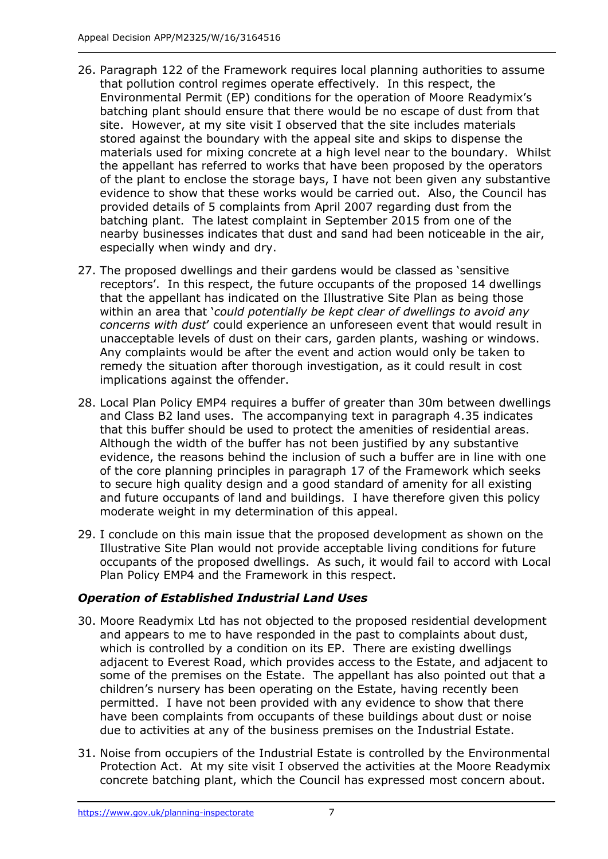- 26. Paragraph 122 of the Framework requires local planning authorities to assume that pollution control regimes operate effectively. In this respect, the Environmental Permit (EP) conditions for the operation of Moore Readymix's batching plant should ensure that there would be no escape of dust from that site. However, at my site visit I observed that the site includes materials stored against the boundary with the appeal site and skips to dispense the materials used for mixing concrete at a high level near to the boundary. Whilst the appellant has referred to works that have been proposed by the operators of the plant to enclose the storage bays, I have not been given any substantive evidence to show that these works would be carried out. Also, the Council has provided details of 5 complaints from April 2007 regarding dust from the batching plant. The latest complaint in September 2015 from one of the nearby businesses indicates that dust and sand had been noticeable in the air, especially when windy and dry.
- 27. The proposed dwellings and their gardens would be classed as 'sensitive receptors'. In this respect, the future occupants of the proposed 14 dwellings that the appellant has indicated on the Illustrative Site Plan as being those within an area that '*could potentially be kept clear of dwellings to avoid any concerns with dust*' could experience an unforeseen event that would result in unacceptable levels of dust on their cars, garden plants, washing or windows. Any complaints would be after the event and action would only be taken to remedy the situation after thorough investigation, as it could result in cost implications against the offender.
- 28. Local Plan Policy EMP4 requires a buffer of greater than 30m between dwellings and Class B2 land uses. The accompanying text in paragraph 4.35 indicates that this buffer should be used to protect the amenities of residential areas. Although the width of the buffer has not been justified by any substantive evidence, the reasons behind the inclusion of such a buffer are in line with one of the core planning principles in paragraph 17 of the Framework which seeks to secure high quality design and a good standard of amenity for all existing and future occupants of land and buildings. I have therefore given this policy moderate weight in my determination of this appeal.
- 29. I conclude on this main issue that the proposed development as shown on the Illustrative Site Plan would not provide acceptable living conditions for future occupants of the proposed dwellings. As such, it would fail to accord with Local Plan Policy EMP4 and the Framework in this respect.

## *Operation of Established Industrial Land Uses*

- 30. Moore Readymix Ltd has not objected to the proposed residential development and appears to me to have responded in the past to complaints about dust, which is controlled by a condition on its EP. There are existing dwellings adjacent to Everest Road, which provides access to the Estate, and adjacent to some of the premises on the Estate. The appellant has also pointed out that a children's nursery has been operating on the Estate, having recently been permitted. I have not been provided with any evidence to show that there have been complaints from occupants of these buildings about dust or noise due to activities at any of the business premises on the Industrial Estate.
- 31. Noise from occupiers of the Industrial Estate is controlled by the Environmental Protection Act. At my site visit I observed the activities at the Moore Readymix concrete batching plant, which the Council has expressed most concern about.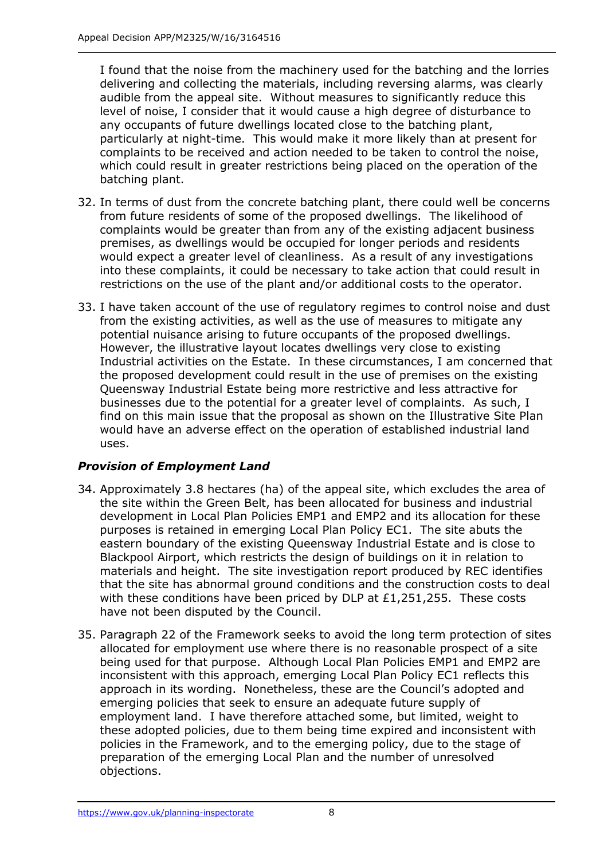I found that the noise from the machinery used for the batching and the lorries delivering and collecting the materials, including reversing alarms, was clearly audible from the appeal site. Without measures to significantly reduce this level of noise, I consider that it would cause a high degree of disturbance to any occupants of future dwellings located close to the batching plant, particularly at night-time. This would make it more likely than at present for complaints to be received and action needed to be taken to control the noise, which could result in greater restrictions being placed on the operation of the batching plant.

- 32. In terms of dust from the concrete batching plant, there could well be concerns from future residents of some of the proposed dwellings. The likelihood of complaints would be greater than from any of the existing adjacent business premises, as dwellings would be occupied for longer periods and residents would expect a greater level of cleanliness. As a result of any investigations into these complaints, it could be necessary to take action that could result in restrictions on the use of the plant and/or additional costs to the operator.
- 33. I have taken account of the use of regulatory regimes to control noise and dust from the existing activities, as well as the use of measures to mitigate any potential nuisance arising to future occupants of the proposed dwellings. However, the illustrative layout locates dwellings very close to existing Industrial activities on the Estate. In these circumstances, I am concerned that the proposed development could result in the use of premises on the existing Queensway Industrial Estate being more restrictive and less attractive for businesses due to the potential for a greater level of complaints. As such, I find on this main issue that the proposal as shown on the Illustrative Site Plan would have an adverse effect on the operation of established industrial land uses.

### *Provision of Employment Land*

- 34. Approximately 3.8 hectares (ha) of the appeal site, which excludes the area of the site within the Green Belt, has been allocated for business and industrial development in Local Plan Policies EMP1 and EMP2 and its allocation for these purposes is retained in emerging Local Plan Policy EC1. The site abuts the eastern boundary of the existing Queensway Industrial Estate and is close to Blackpool Airport, which restricts the design of buildings on it in relation to materials and height. The site investigation report produced by REC identifies that the site has abnormal ground conditions and the construction costs to deal with these conditions have been priced by DLP at £1,251,255. These costs have not been disputed by the Council.
- 35. Paragraph 22 of the Framework seeks to avoid the long term protection of sites allocated for employment use where there is no reasonable prospect of a site being used for that purpose. Although Local Plan Policies EMP1 and EMP2 are inconsistent with this approach, emerging Local Plan Policy EC1 reflects this approach in its wording. Nonetheless, these are the Council's adopted and emerging policies that seek to ensure an adequate future supply of employment land. I have therefore attached some, but limited, weight to these adopted policies, due to them being time expired and inconsistent with policies in the Framework, and to the emerging policy, due to the stage of preparation of the emerging Local Plan and the number of unresolved objections.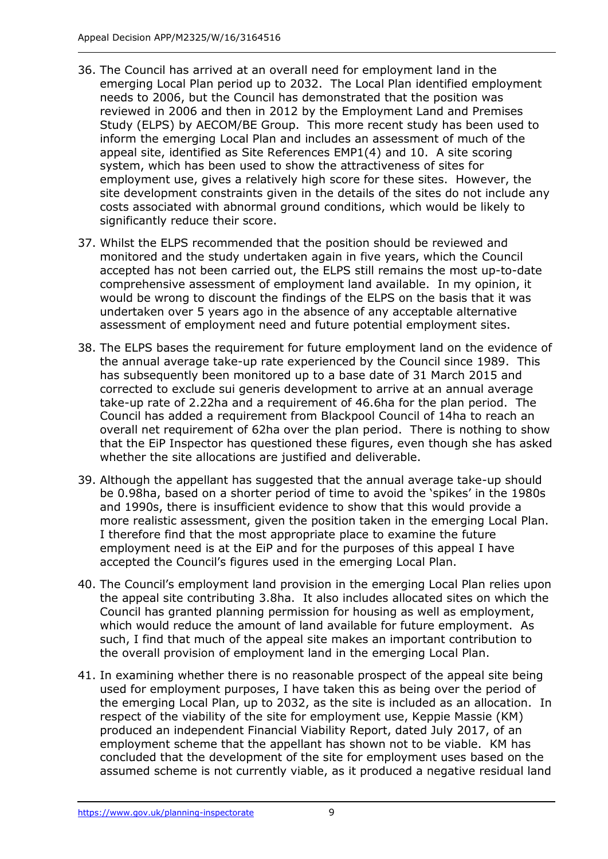- 36. The Council has arrived at an overall need for employment land in the emerging Local Plan period up to 2032. The Local Plan identified employment needs to 2006, but the Council has demonstrated that the position was reviewed in 2006 and then in 2012 by the Employment Land and Premises Study (ELPS) by AECOM/BE Group. This more recent study has been used to inform the emerging Local Plan and includes an assessment of much of the appeal site, identified as Site References EMP1(4) and 10. A site scoring system, which has been used to show the attractiveness of sites for employment use, gives a relatively high score for these sites. However, the site development constraints given in the details of the sites do not include any costs associated with abnormal ground conditions, which would be likely to significantly reduce their score.
- 37. Whilst the ELPS recommended that the position should be reviewed and monitored and the study undertaken again in five years, which the Council accepted has not been carried out, the ELPS still remains the most up-to-date comprehensive assessment of employment land available. In my opinion, it would be wrong to discount the findings of the ELPS on the basis that it was undertaken over 5 years ago in the absence of any acceptable alternative assessment of employment need and future potential employment sites.
- 38. The ELPS bases the requirement for future employment land on the evidence of the annual average take-up rate experienced by the Council since 1989. This has subsequently been monitored up to a base date of 31 March 2015 and corrected to exclude sui generis development to arrive at an annual average take-up rate of 2.22ha and a requirement of 46.6ha for the plan period. The Council has added a requirement from Blackpool Council of 14ha to reach an overall net requirement of 62ha over the plan period. There is nothing to show that the EiP Inspector has questioned these figures, even though she has asked whether the site allocations are justified and deliverable.
- 39. Although the appellant has suggested that the annual average take-up should be 0.98ha, based on a shorter period of time to avoid the 'spikes' in the 1980s and 1990s, there is insufficient evidence to show that this would provide a more realistic assessment, given the position taken in the emerging Local Plan. I therefore find that the most appropriate place to examine the future employment need is at the EiP and for the purposes of this appeal I have accepted the Council's figures used in the emerging Local Plan.
- 40. The Council's employment land provision in the emerging Local Plan relies upon the appeal site contributing 3.8ha. It also includes allocated sites on which the Council has granted planning permission for housing as well as employment, which would reduce the amount of land available for future employment. As such, I find that much of the appeal site makes an important contribution to the overall provision of employment land in the emerging Local Plan.
- 41. In examining whether there is no reasonable prospect of the appeal site being used for employment purposes, I have taken this as being over the period of the emerging Local Plan, up to 2032, as the site is included as an allocation. In respect of the viability of the site for employment use, Keppie Massie (KM) produced an independent Financial Viability Report, dated July 2017, of an employment scheme that the appellant has shown not to be viable. KM has concluded that the development of the site for employment uses based on the assumed scheme is not currently viable, as it produced a negative residual land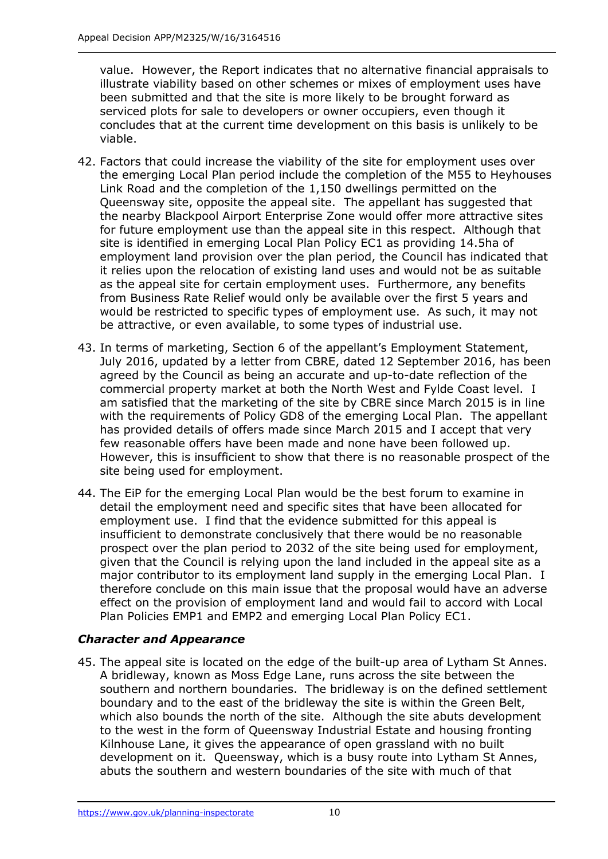value. However, the Report indicates that no alternative financial appraisals to illustrate viability based on other schemes or mixes of employment uses have been submitted and that the site is more likely to be brought forward as serviced plots for sale to developers or owner occupiers, even though it concludes that at the current time development on this basis is unlikely to be viable.

- 42. Factors that could increase the viability of the site for employment uses over the emerging Local Plan period include the completion of the M55 to Heyhouses Link Road and the completion of the 1,150 dwellings permitted on the Queensway site, opposite the appeal site. The appellant has suggested that the nearby Blackpool Airport Enterprise Zone would offer more attractive sites for future employment use than the appeal site in this respect. Although that site is identified in emerging Local Plan Policy EC1 as providing 14.5ha of employment land provision over the plan period, the Council has indicated that it relies upon the relocation of existing land uses and would not be as suitable as the appeal site for certain employment uses. Furthermore, any benefits from Business Rate Relief would only be available over the first 5 years and would be restricted to specific types of employment use. As such, it may not be attractive, or even available, to some types of industrial use.
- 43. In terms of marketing, Section 6 of the appellant's Employment Statement, July 2016, updated by a letter from CBRE, dated 12 September 2016, has been agreed by the Council as being an accurate and up-to-date reflection of the commercial property market at both the North West and Fylde Coast level. I am satisfied that the marketing of the site by CBRE since March 2015 is in line with the requirements of Policy GD8 of the emerging Local Plan. The appellant has provided details of offers made since March 2015 and I accept that very few reasonable offers have been made and none have been followed up. However, this is insufficient to show that there is no reasonable prospect of the site being used for employment.
- 44. The EiP for the emerging Local Plan would be the best forum to examine in detail the employment need and specific sites that have been allocated for employment use. I find that the evidence submitted for this appeal is insufficient to demonstrate conclusively that there would be no reasonable prospect over the plan period to 2032 of the site being used for employment, given that the Council is relying upon the land included in the appeal site as a major contributor to its employment land supply in the emerging Local Plan. I therefore conclude on this main issue that the proposal would have an adverse effect on the provision of employment land and would fail to accord with Local Plan Policies EMP1 and EMP2 and emerging Local Plan Policy EC1.

### *Character and Appearance*

45. The appeal site is located on the edge of the built-up area of Lytham St Annes. A bridleway, known as Moss Edge Lane, runs across the site between the southern and northern boundaries. The bridleway is on the defined settlement boundary and to the east of the bridleway the site is within the Green Belt, which also bounds the north of the site. Although the site abuts development to the west in the form of Queensway Industrial Estate and housing fronting Kilnhouse Lane, it gives the appearance of open grassland with no built development on it. Queensway, which is a busy route into Lytham St Annes, abuts the southern and western boundaries of the site with much of that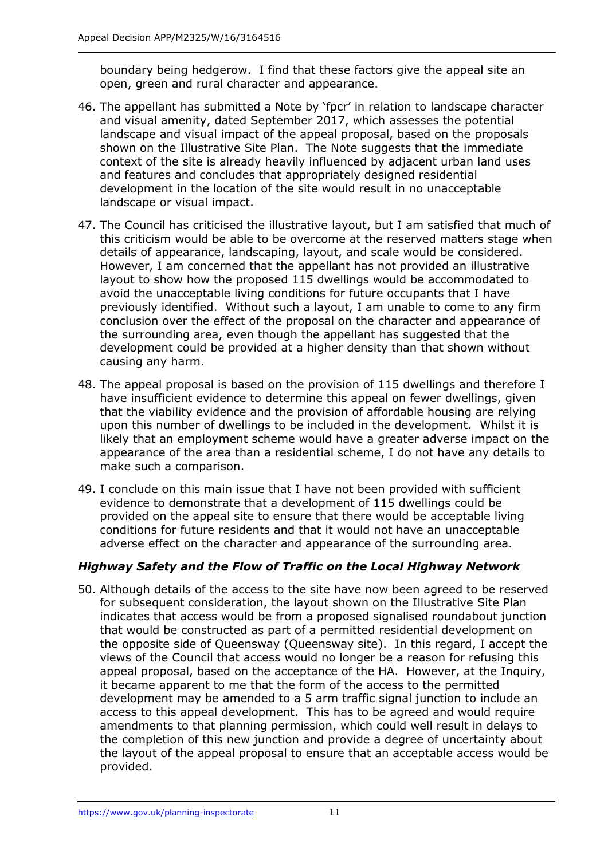boundary being hedgerow. I find that these factors give the appeal site an open, green and rural character and appearance.

- 46. The appellant has submitted a Note by 'fpcr' in relation to landscape character and visual amenity, dated September 2017, which assesses the potential landscape and visual impact of the appeal proposal, based on the proposals shown on the Illustrative Site Plan. The Note suggests that the immediate context of the site is already heavily influenced by adjacent urban land uses and features and concludes that appropriately designed residential development in the location of the site would result in no unacceptable landscape or visual impact.
- 47. The Council has criticised the illustrative layout, but I am satisfied that much of this criticism would be able to be overcome at the reserved matters stage when details of appearance, landscaping, layout, and scale would be considered. However, I am concerned that the appellant has not provided an illustrative layout to show how the proposed 115 dwellings would be accommodated to avoid the unacceptable living conditions for future occupants that I have previously identified. Without such a layout, I am unable to come to any firm conclusion over the effect of the proposal on the character and appearance of the surrounding area, even though the appellant has suggested that the development could be provided at a higher density than that shown without causing any harm.
- 48. The appeal proposal is based on the provision of 115 dwellings and therefore I have insufficient evidence to determine this appeal on fewer dwellings, given that the viability evidence and the provision of affordable housing are relying upon this number of dwellings to be included in the development. Whilst it is likely that an employment scheme would have a greater adverse impact on the appearance of the area than a residential scheme, I do not have any details to make such a comparison.
- 49. I conclude on this main issue that I have not been provided with sufficient evidence to demonstrate that a development of 115 dwellings could be provided on the appeal site to ensure that there would be acceptable living conditions for future residents and that it would not have an unacceptable adverse effect on the character and appearance of the surrounding area.

### *Highway Safety and the Flow of Traffic on the Local Highway Network*

50. Although details of the access to the site have now been agreed to be reserved for subsequent consideration, the layout shown on the Illustrative Site Plan indicates that access would be from a proposed signalised roundabout junction that would be constructed as part of a permitted residential development on the opposite side of Queensway (Queensway site). In this regard, I accept the views of the Council that access would no longer be a reason for refusing this appeal proposal, based on the acceptance of the HA. However, at the Inquiry, it became apparent to me that the form of the access to the permitted development may be amended to a 5 arm traffic signal junction to include an access to this appeal development. This has to be agreed and would require amendments to that planning permission, which could well result in delays to the completion of this new junction and provide a degree of uncertainty about the layout of the appeal proposal to ensure that an acceptable access would be provided.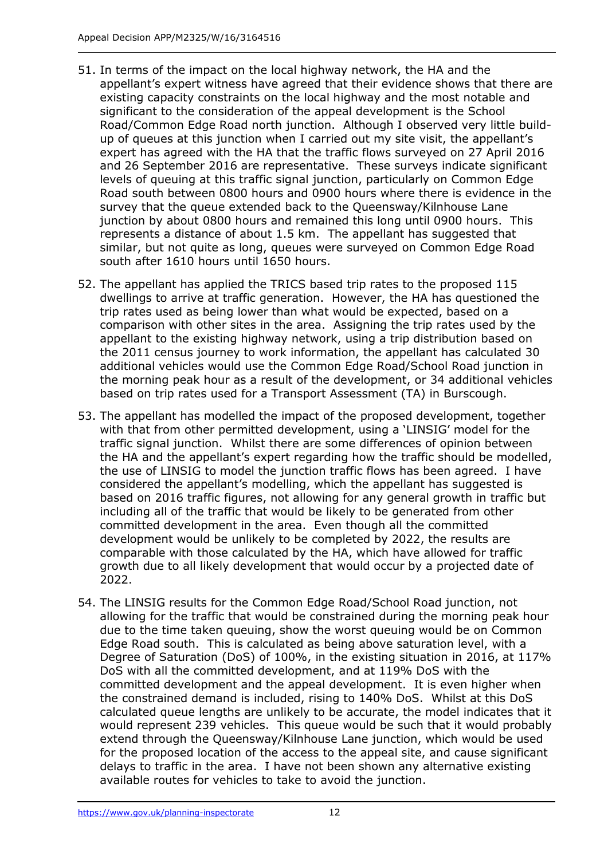- 51. In terms of the impact on the local highway network, the HA and the appellant's expert witness have agreed that their evidence shows that there are existing capacity constraints on the local highway and the most notable and significant to the consideration of the appeal development is the School Road/Common Edge Road north junction. Although I observed very little buildup of queues at this junction when I carried out my site visit, the appellant's expert has agreed with the HA that the traffic flows surveyed on 27 April 2016 and 26 September 2016 are representative. These surveys indicate significant levels of queuing at this traffic signal junction, particularly on Common Edge Road south between 0800 hours and 0900 hours where there is evidence in the survey that the queue extended back to the Queensway/Kilnhouse Lane junction by about 0800 hours and remained this long until 0900 hours. This represents a distance of about 1.5 km. The appellant has suggested that similar, but not quite as long, queues were surveyed on Common Edge Road south after 1610 hours until 1650 hours.
- 52. The appellant has applied the TRICS based trip rates to the proposed 115 dwellings to arrive at traffic generation. However, the HA has questioned the trip rates used as being lower than what would be expected, based on a comparison with other sites in the area. Assigning the trip rates used by the appellant to the existing highway network, using a trip distribution based on the 2011 census journey to work information, the appellant has calculated 30 additional vehicles would use the Common Edge Road/School Road junction in the morning peak hour as a result of the development, or 34 additional vehicles based on trip rates used for a Transport Assessment (TA) in Burscough.
- 53. The appellant has modelled the impact of the proposed development, together with that from other permitted development, using a 'LINSIG' model for the traffic signal junction. Whilst there are some differences of opinion between the HA and the appellant's expert regarding how the traffic should be modelled, the use of LINSIG to model the junction traffic flows has been agreed. I have considered the appellant's modelling, which the appellant has suggested is based on 2016 traffic figures, not allowing for any general growth in traffic but including all of the traffic that would be likely to be generated from other committed development in the area. Even though all the committed development would be unlikely to be completed by 2022, the results are comparable with those calculated by the HA, which have allowed for traffic growth due to all likely development that would occur by a projected date of 2022.
- 54. The LINSIG results for the Common Edge Road/School Road junction, not allowing for the traffic that would be constrained during the morning peak hour due to the time taken queuing, show the worst queuing would be on Common Edge Road south. This is calculated as being above saturation level, with a Degree of Saturation (DoS) of 100%, in the existing situation in 2016, at 117% DoS with all the committed development, and at 119% DoS with the committed development and the appeal development. It is even higher when the constrained demand is included, rising to 140% DoS. Whilst at this DoS calculated queue lengths are unlikely to be accurate, the model indicates that it would represent 239 vehicles. This queue would be such that it would probably extend through the Queensway/Kilnhouse Lane junction, which would be used for the proposed location of the access to the appeal site, and cause significant delays to traffic in the area. I have not been shown any alternative existing available routes for vehicles to take to avoid the junction.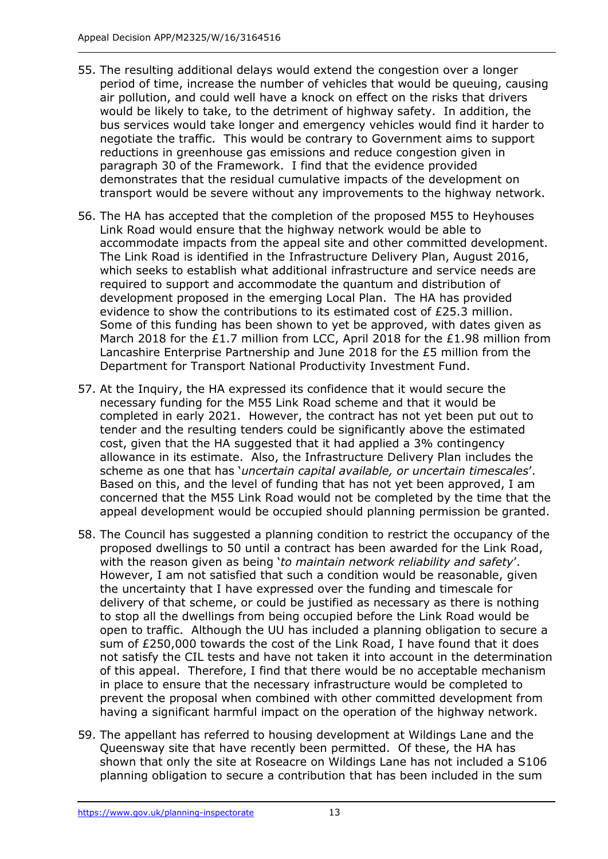- 55. The resulting additional delays would extend the congestion over a longer period of time, increase the number of vehicles that would be queuing, causing air pollution, and could well have a knock on effect on the risks that drivers would be likely to take, to the detriment of highway safety. In addition, the bus services would take longer and emergency vehicles would find it harder to negotiate the traffic. This would be contrary to Government aims to support reductions in greenhouse gas emissions and reduce congestion given in paragraph 30 of the Framework. I find that the evidence provided demonstrates that the residual cumulative impacts of the development on transport would be severe without any improvements to the highway network.
- 56. The HA has accepted that the completion of the proposed M55 to Heyhouses Link Road would ensure that the highway network would be able to accommodate impacts from the appeal site and other committed development. The Link Road is identified in the Infrastructure Delivery Plan, August 2016, which seeks to establish what additional infrastructure and service needs are required to support and accommodate the quantum and distribution of development proposed in the emerging Local Plan. The HA has provided evidence to show the contributions to its estimated cost of £25.3 million. Some of this funding has been shown to yet be approved, with dates given as March 2018 for the £1.7 million from LCC, April 2018 for the £1.98 million from Lancashire Enterprise Partnership and June 2018 for the  $E5$  million from the Department for Transport National Productivity Investment Fund.
- 57. At the Inquiry, the HA expressed its confidence that it would secure the necessary funding for the M55 Link Road scheme and that it would be completed in early 2021. However, the contract has not yet been put out to tender and the resulting tenders could be significantly above the estimated cost, given that the HA suggested that it had applied a 3% contingency allowance in its estimate. Also, the Infrastructure Delivery Plan includes the scheme as one that has '*uncertain capital available, or uncertain timescales*'. Based on this, and the level of funding that has not yet been approved, I am concerned that the M55 Link Road would not be completed by the time that the appeal development would be occupied should planning permission be granted.
- 58. The Council has suggested a planning condition to restrict the occupancy of the proposed dwellings to 50 until a contract has been awarded for the Link Road, with the reason given as being '*to maintain network reliability and safety*'. However, I am not satisfied that such a condition would be reasonable, given the uncertainty that I have expressed over the funding and timescale for delivery of that scheme, or could be justified as necessary as there is nothing to stop all the dwellings from being occupied before the Link Road would be open to traffic. Although the UU has included a planning obligation to secure a sum of £250,000 towards the cost of the Link Road, I have found that it does not satisfy the CIL tests and have not taken it into account in the determination of this appeal. Therefore, I find that there would be no acceptable mechanism in place to ensure that the necessary infrastructure would be completed to prevent the proposal when combined with other committed development from having a significant harmful impact on the operation of the highway network.
- 59. The appellant has referred to housing development at Wildings Lane and the Queensway site that have recently been permitted. Of these, the HA has shown that only the site at Roseacre on Wildings Lane has not included a S106 planning obligation to secure a contribution that has been included in the sum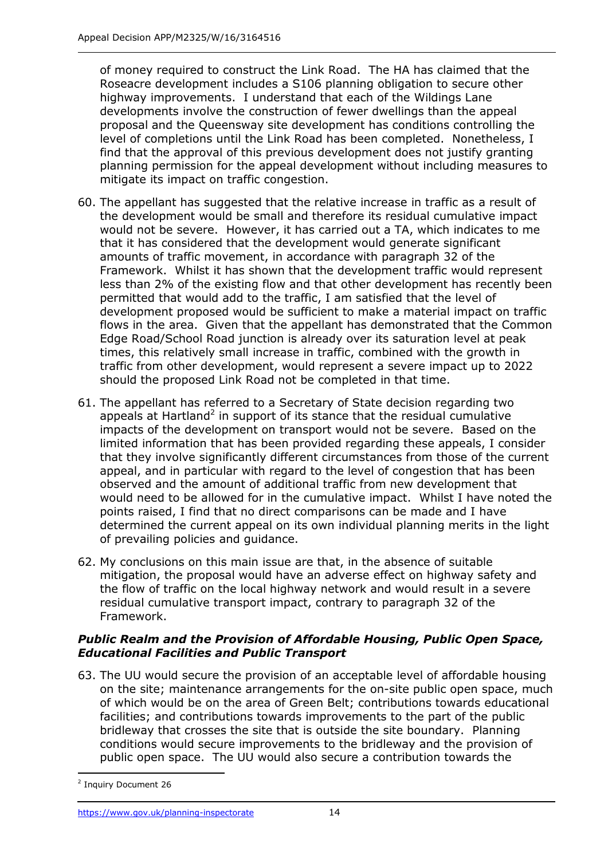of money required to construct the Link Road. The HA has claimed that the Roseacre development includes a S106 planning obligation to secure other highway improvements. I understand that each of the Wildings Lane developments involve the construction of fewer dwellings than the appeal proposal and the Queensway site development has conditions controlling the level of completions until the Link Road has been completed. Nonetheless, I find that the approval of this previous development does not justify granting planning permission for the appeal development without including measures to mitigate its impact on traffic congestion.

- 60. The appellant has suggested that the relative increase in traffic as a result of the development would be small and therefore its residual cumulative impact would not be severe. However, it has carried out a TA, which indicates to me that it has considered that the development would generate significant amounts of traffic movement, in accordance with paragraph 32 of the Framework. Whilst it has shown that the development traffic would represent less than 2% of the existing flow and that other development has recently been permitted that would add to the traffic, I am satisfied that the level of development proposed would be sufficient to make a material impact on traffic flows in the area. Given that the appellant has demonstrated that the Common Edge Road/School Road junction is already over its saturation level at peak times, this relatively small increase in traffic, combined with the growth in traffic from other development, would represent a severe impact up to 2022 should the proposed Link Road not be completed in that time.
- 61. The appellant has referred to a Secretary of State decision regarding two appeals at Hartland<sup>2</sup> in support of its stance that the residual cumulative impacts of the development on transport would not be severe. Based on the limited information that has been provided regarding these appeals, I consider that they involve significantly different circumstances from those of the current appeal, and in particular with regard to the level of congestion that has been observed and the amount of additional traffic from new development that would need to be allowed for in the cumulative impact. Whilst I have noted the points raised, I find that no direct comparisons can be made and I have determined the current appeal on its own individual planning merits in the light of prevailing policies and guidance.
- 62. My conclusions on this main issue are that, in the absence of suitable mitigation, the proposal would have an adverse effect on highway safety and the flow of traffic on the local highway network and would result in a severe residual cumulative transport impact, contrary to paragraph 32 of the Framework.

#### *Public Realm and the Provision of Affordable Housing, Public Open Space, Educational Facilities and Public Transport*

63. The UU would secure the provision of an acceptable level of affordable housing on the site; maintenance arrangements for the on-site public open space, much of which would be on the area of Green Belt; contributions towards educational facilities; and contributions towards improvements to the part of the public bridleway that crosses the site that is outside the site boundary. Planning conditions would secure improvements to the bridleway and the provision of public open space. The UU would also secure a contribution towards the

-

<sup>&</sup>lt;sup>2</sup> Inquiry Document 26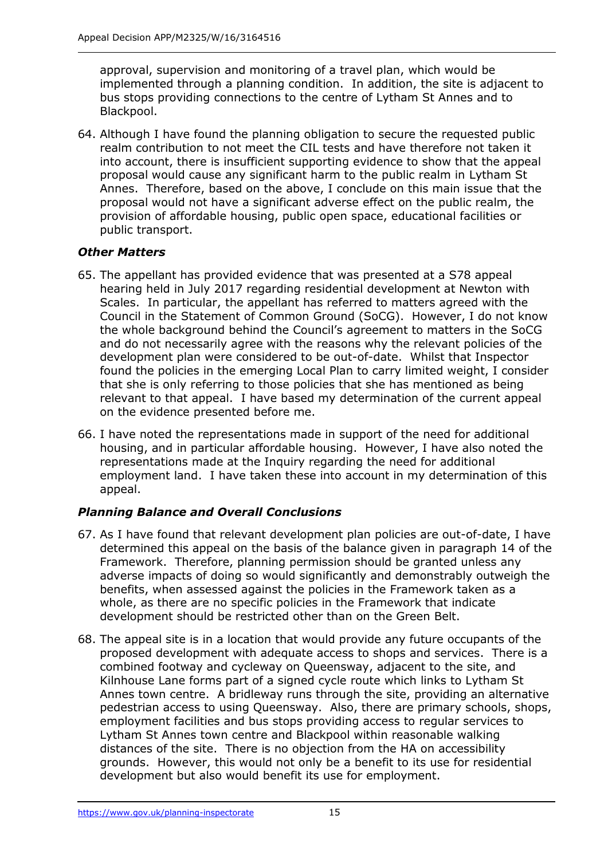approval, supervision and monitoring of a travel plan, which would be implemented through a planning condition. In addition, the site is adjacent to bus stops providing connections to the centre of Lytham St Annes and to Blackpool.

64. Although I have found the planning obligation to secure the requested public realm contribution to not meet the CIL tests and have therefore not taken it into account, there is insufficient supporting evidence to show that the appeal proposal would cause any significant harm to the public realm in Lytham St Annes. Therefore, based on the above, I conclude on this main issue that the proposal would not have a significant adverse effect on the public realm, the provision of affordable housing, public open space, educational facilities or public transport.

## *Other Matters*

- 65. The appellant has provided evidence that was presented at a S78 appeal hearing held in July 2017 regarding residential development at Newton with Scales. In particular, the appellant has referred to matters agreed with the Council in the Statement of Common Ground (SoCG). However, I do not know the whole background behind the Council's agreement to matters in the SoCG and do not necessarily agree with the reasons why the relevant policies of the development plan were considered to be out-of-date. Whilst that Inspector found the policies in the emerging Local Plan to carry limited weight, I consider that she is only referring to those policies that she has mentioned as being relevant to that appeal. I have based my determination of the current appeal on the evidence presented before me.
- 66. I have noted the representations made in support of the need for additional housing, and in particular affordable housing. However, I have also noted the representations made at the Inquiry regarding the need for additional employment land. I have taken these into account in my determination of this appeal.

## *Planning Balance and Overall Conclusions*

- 67. As I have found that relevant development plan policies are out-of-date, I have determined this appeal on the basis of the balance given in paragraph 14 of the Framework. Therefore, planning permission should be granted unless any adverse impacts of doing so would significantly and demonstrably outweigh the benefits, when assessed against the policies in the Framework taken as a whole, as there are no specific policies in the Framework that indicate development should be restricted other than on the Green Belt.
- 68. The appeal site is in a location that would provide any future occupants of the proposed development with adequate access to shops and services. There is a combined footway and cycleway on Queensway, adjacent to the site, and Kilnhouse Lane forms part of a signed cycle route which links to Lytham St Annes town centre. A bridleway runs through the site, providing an alternative pedestrian access to using Queensway. Also, there are primary schools, shops, employment facilities and bus stops providing access to regular services to Lytham St Annes town centre and Blackpool within reasonable walking distances of the site. There is no objection from the HA on accessibility grounds. However, this would not only be a benefit to its use for residential development but also would benefit its use for employment.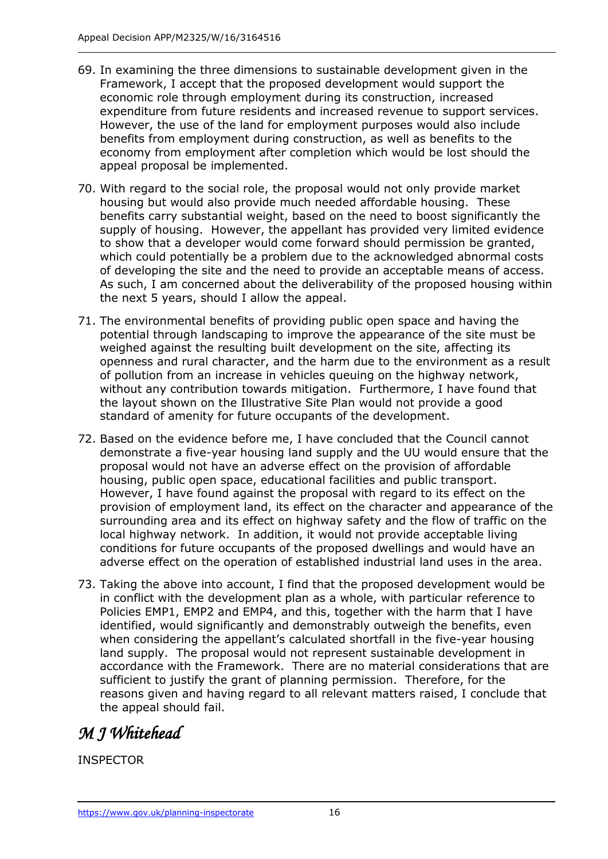- 69. In examining the three dimensions to sustainable development given in the Framework, I accept that the proposed development would support the economic role through employment during its construction, increased expenditure from future residents and increased revenue to support services. However, the use of the land for employment purposes would also include benefits from employment during construction, as well as benefits to the economy from employment after completion which would be lost should the appeal proposal be implemented.
- 70. With regard to the social role, the proposal would not only provide market housing but would also provide much needed affordable housing. These benefits carry substantial weight, based on the need to boost significantly the supply of housing. However, the appellant has provided very limited evidence to show that a developer would come forward should permission be granted, which could potentially be a problem due to the acknowledged abnormal costs of developing the site and the need to provide an acceptable means of access. As such, I am concerned about the deliverability of the proposed housing within the next 5 years, should I allow the appeal.
- 71. The environmental benefits of providing public open space and having the potential through landscaping to improve the appearance of the site must be weighed against the resulting built development on the site, affecting its openness and rural character, and the harm due to the environment as a result of pollution from an increase in vehicles queuing on the highway network, without any contribution towards mitigation. Furthermore, I have found that the layout shown on the Illustrative Site Plan would not provide a good standard of amenity for future occupants of the development.
- 72. Based on the evidence before me, I have concluded that the Council cannot demonstrate a five-year housing land supply and the UU would ensure that the proposal would not have an adverse effect on the provision of affordable housing, public open space, educational facilities and public transport. However, I have found against the proposal with regard to its effect on the provision of employment land, its effect on the character and appearance of the surrounding area and its effect on highway safety and the flow of traffic on the local highway network. In addition, it would not provide acceptable living conditions for future occupants of the proposed dwellings and would have an adverse effect on the operation of established industrial land uses in the area.
- 73. Taking the above into account, I find that the proposed development would be in conflict with the development plan as a whole, with particular reference to Policies EMP1, EMP2 and EMP4, and this, together with the harm that I have identified, would significantly and demonstrably outweigh the benefits, even when considering the appellant's calculated shortfall in the five-year housing land supply. The proposal would not represent sustainable development in accordance with the Framework. There are no material considerations that are sufficient to justify the grant of planning permission. Therefore, for the reasons given and having regard to all relevant matters raised, I conclude that the appeal should fail.

## *M J Whitehead*

INSPECTOR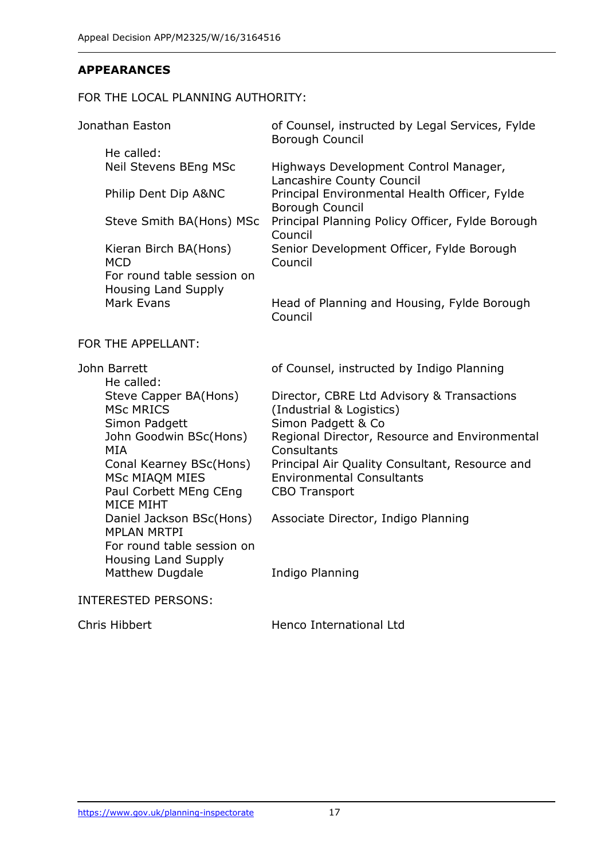#### **APPEARANCES**

#### FOR THE LOCAL PLANNING AUTHORITY:

| Jonathan Easton<br>He called:<br>Neil Stevens BEng MSc                                                                             | of Counsel, instructed by Legal Services, Fylde<br>Borough Council                                         |
|------------------------------------------------------------------------------------------------------------------------------------|------------------------------------------------------------------------------------------------------------|
|                                                                                                                                    | Highways Development Control Manager,<br>Lancashire County Council                                         |
| Philip Dent Dip A&NC                                                                                                               | Principal Environmental Health Officer, Fylde<br>Borough Council                                           |
| Steve Smith BA(Hons) MSc                                                                                                           | Principal Planning Policy Officer, Fylde Borough<br>Council                                                |
| Kieran Birch BA(Hons)<br><b>MCD</b>                                                                                                | Senior Development Officer, Fylde Borough<br>Council                                                       |
| For round table session on<br>Housing Land Supply                                                                                  |                                                                                                            |
| Mark Evans                                                                                                                         | Head of Planning and Housing, Fylde Borough<br>Council                                                     |
| FOR THE APPELLANT:                                                                                                                 |                                                                                                            |
| John Barrett<br>He called:                                                                                                         | of Counsel, instructed by Indigo Planning                                                                  |
| Steve Capper BA(Hons)<br><b>MSc MRICS</b>                                                                                          | Director, CBRE Ltd Advisory & Transactions<br>(Industrial & Logistics)                                     |
| Simon Padgett<br>John Goodwin BSc(Hons)<br><b>MIA</b>                                                                              | Simon Padgett & Co<br>Regional Director, Resource and Environmental<br>Consultants                         |
| Conal Kearney BSc(Hons)<br>MSc MIAQM MIES<br>Paul Corbett MEng CEng<br>MICE MIHT<br>Daniel Jackson BSc(Hons)<br><b>MPLAN MRTPI</b> | Principal Air Quality Consultant, Resource and<br><b>Environmental Consultants</b><br><b>CBO Transport</b> |
|                                                                                                                                    | Associate Director, Indigo Planning                                                                        |
| For round table session on<br><b>Housing Land Supply</b><br><b>Matthew Dugdale</b>                                                 | Indigo Planning                                                                                            |
| <b>INTERESTED PERSONS:</b>                                                                                                         |                                                                                                            |
| Chris Hibbert                                                                                                                      | Henco International Ltd                                                                                    |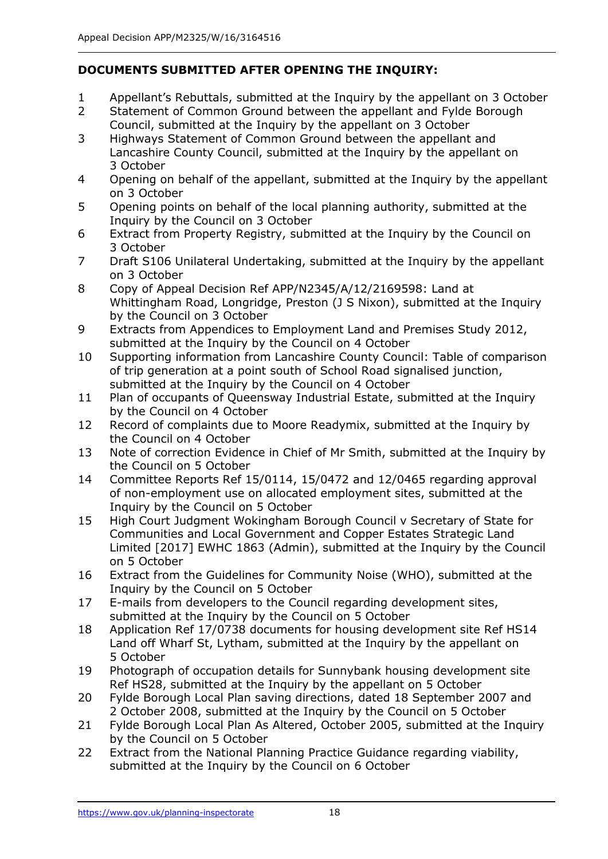## **DOCUMENTS SUBMITTED AFTER OPENING THE INQUIRY:**

- 1 Appellant's Rebuttals, submitted at the Inquiry by the appellant on 3 October
- 2 Statement of Common Ground between the appellant and Fylde Borough Council, submitted at the Inquiry by the appellant on 3 October
- 3 Highways Statement of Common Ground between the appellant and Lancashire County Council, submitted at the Inquiry by the appellant on 3 October
- 4 Opening on behalf of the appellant, submitted at the Inquiry by the appellant on 3 October
- 5 Opening points on behalf of the local planning authority, submitted at the Inquiry by the Council on 3 October
- 6 Extract from Property Registry, submitted at the Inquiry by the Council on 3 October
- 7 Draft S106 Unilateral Undertaking, submitted at the Inquiry by the appellant on 3 October
- 8 Copy of Appeal Decision Ref APP/N2345/A/12/2169598: Land at Whittingham Road, Longridge, Preston (J S Nixon), submitted at the Inquiry by the Council on 3 October
- 9 Extracts from Appendices to Employment Land and Premises Study 2012, submitted at the Inquiry by the Council on 4 October
- 10 Supporting information from Lancashire County Council: Table of comparison of trip generation at a point south of School Road signalised junction, submitted at the Inquiry by the Council on 4 October
- 11 Plan of occupants of Queensway Industrial Estate, submitted at the Inquiry by the Council on 4 October
- 12 Record of complaints due to Moore Readymix, submitted at the Inquiry by the Council on 4 October
- 13 Note of correction Evidence in Chief of Mr Smith, submitted at the Inquiry by the Council on 5 October
- 14 Committee Reports Ref 15/0114, 15/0472 and 12/0465 regarding approval of non-employment use on allocated employment sites, submitted at the Inquiry by the Council on 5 October
- 15 High Court Judgment Wokingham Borough Council v Secretary of State for Communities and Local Government and Copper Estates Strategic Land Limited [2017] EWHC 1863 (Admin), submitted at the Inquiry by the Council on 5 October
- 16 Extract from the Guidelines for Community Noise (WHO), submitted at the Inquiry by the Council on 5 October
- 17 E-mails from developers to the Council regarding development sites, submitted at the Inquiry by the Council on 5 October
- 18 Application Ref 17/0738 documents for housing development site Ref HS14 Land off Wharf St, Lytham, submitted at the Inquiry by the appellant on 5 October
- 19 Photograph of occupation details for Sunnybank housing development site Ref HS28, submitted at the Inquiry by the appellant on 5 October
- 20 Fylde Borough Local Plan saving directions, dated 18 September 2007 and 2 October 2008, submitted at the Inquiry by the Council on 5 October
- 21 Fylde Borough Local Plan As Altered, October 2005, submitted at the Inquiry by the Council on 5 October
- 22 Extract from the National Planning Practice Guidance regarding viability, submitted at the Inquiry by the Council on 6 October